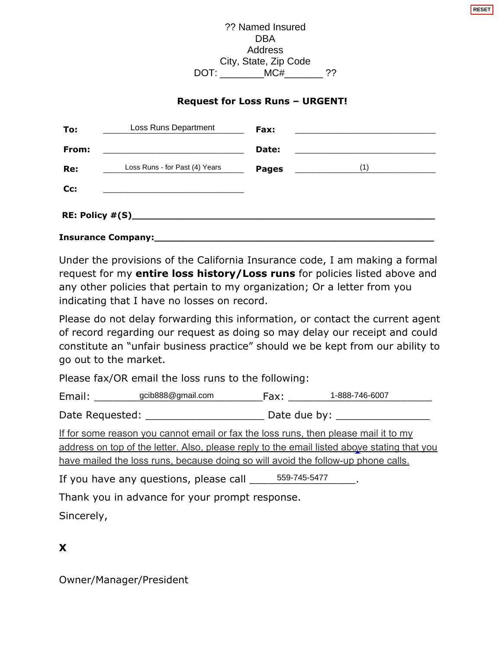## **Request for Loss Runs – URGENT!**

|                                             |                                                     | ?? Named Insured<br><b>DBA</b><br>Address |                                                                                                                                                                                                                                                                         |
|---------------------------------------------|-----------------------------------------------------|-------------------------------------------|-------------------------------------------------------------------------------------------------------------------------------------------------------------------------------------------------------------------------------------------------------------------------|
|                                             |                                                     | City, State, Zip Code                     |                                                                                                                                                                                                                                                                         |
|                                             |                                                     | DOT: ___________MC#__________ ??          |                                                                                                                                                                                                                                                                         |
|                                             |                                                     | <b>Request for Loss Runs - URGENT!</b>    |                                                                                                                                                                                                                                                                         |
|                                             | Loss Runs Department                                | Fax:                                      | <u> 1989 - Johann Barbara, martin amerikan basal dan berasal dalam basal dalam basal dalam basal dalam basal dala</u>                                                                                                                                                   |
| From:                                       | <u> 1989 - Johann Barbara, martin amerikan ba</u>   | Date:                                     |                                                                                                                                                                                                                                                                         |
|                                             | Loss Runs - for Past (4) Years                      | <b>Pages</b>                              | (1)                                                                                                                                                                                                                                                                     |
|                                             |                                                     |                                           |                                                                                                                                                                                                                                                                         |
| indicating that I have no losses on record. |                                                     |                                           | Under the provisions of the California Insurance code, I am making a formal<br>request for my entire loss history/Loss runs for policies listed above and<br>any other policies that pertain to my organization; Or a letter from you                                   |
| go out to the market.                       |                                                     |                                           | Please do not delay forwarding this information, or contact the current agent<br>of record regarding our request as doing so may delay our receipt and could<br>constitute an "unfair business practice" should we be kept from our ability to                          |
|                                             |                                                     |                                           |                                                                                                                                                                                                                                                                         |
|                                             | Please fax/OR email the loss runs to the following: |                                           |                                                                                                                                                                                                                                                                         |
|                                             |                                                     |                                           |                                                                                                                                                                                                                                                                         |
|                                             |                                                     |                                           |                                                                                                                                                                                                                                                                         |
|                                             |                                                     |                                           | If for some reason you cannot email or fax the loss runs, then please mail it to my<br>address on top of the letter. Also, please reply to the email listed above stating that you<br>have mailed the loss runs, because doing so will avoid the follow-up phone calls. |

If you have any questions, please call 559-745-5477

Thank you in advance for your prompt response.

Sincerely,

**X** 

Owner/Manager/President